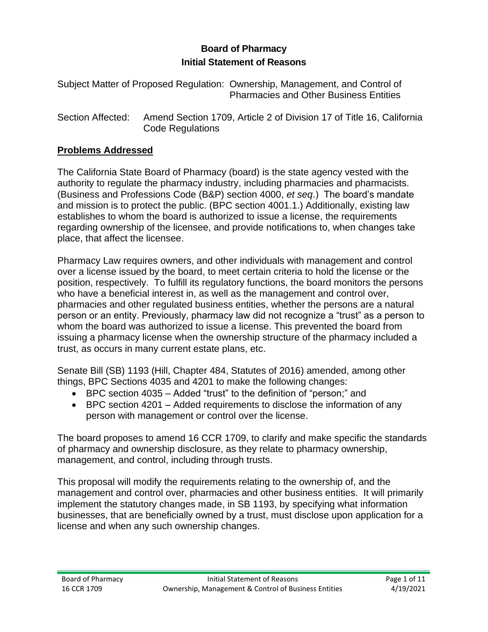## **Board of Pharmacy Initial Statement of Reasons**

Subject Matter of Proposed Regulation: Ownership, Management, and Control of Pharmacies and Other Business Entities

Section Affected: Amend Section 1709, Article 2 of Division 17 of Title 16, California Code Regulations

### **Problems Addressed**

The California State Board of Pharmacy (board) is the state agency vested with the authority to regulate the pharmacy industry, including pharmacies and pharmacists. (Business and Professions Code (B&P) section 4000, *et seq*.) The board's mandate and mission is to protect the public. (BPC section 4001.1.) Additionally, existing law establishes to whom the board is authorized to issue a license, the requirements regarding ownership of the licensee, and provide notifications to, when changes take place, that affect the licensee.

Pharmacy Law requires owners, and other individuals with management and control over a license issued by the board, to meet certain criteria to hold the license or the position, respectively. To fulfill its regulatory functions, the board monitors the persons who have a beneficial interest in, as well as the management and control over, pharmacies and other regulated business entities, whether the persons are a natural person or an entity. Previously, pharmacy law did not recognize a "trust" as a person to whom the board was authorized to issue a license. This prevented the board from issuing a pharmacy license when the ownership structure of the pharmacy included a trust, as occurs in many current estate plans, etc.

Senate Bill (SB) 1193 (Hill, Chapter 484, Statutes of 2016) amended, among other things, BPC Sections 4035 and 4201 to make the following changes:

- BPC section 4035 Added "trust" to the definition of "person;" and
- BPC section 4201 Added requirements to disclose the information of any person with management or control over the license.

The board proposes to amend 16 CCR 1709, to clarify and make specific the standards of pharmacy and ownership disclosure, as they relate to pharmacy ownership, management, and control, including through trusts.

This proposal will modify the requirements relating to the ownership of, and the management and control over, pharmacies and other business entities. It will primarily implement the statutory changes made, in SB 1193, by specifying what information businesses, that are beneficially owned by a trust, must disclose upon application for a license and when any such ownership changes.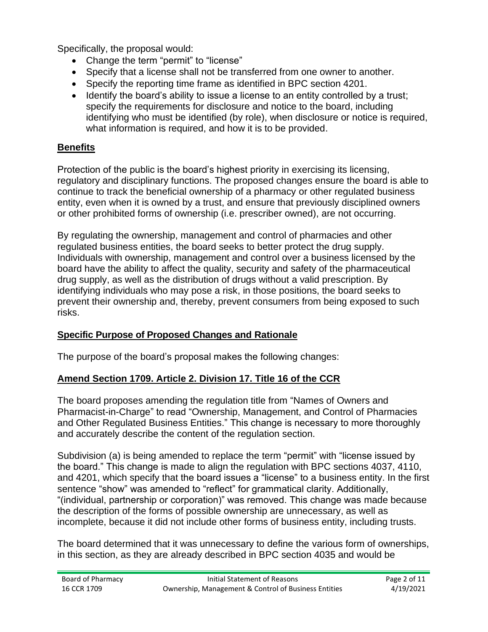Specifically, the proposal would:

- Change the term "permit" to "license"
- Specify that a license shall not be transferred from one owner to another.
- Specify the reporting time frame as identified in BPC section 4201.
- Identify the board's ability to issue a license to an entity controlled by a trust; specify the requirements for disclosure and notice to the board, including identifying who must be identified (by role), when disclosure or notice is required, what information is required, and how it is to be provided.

### **Benefits**

Protection of the public is the board's highest priority in exercising its licensing, regulatory and disciplinary functions. The proposed changes ensure the board is able to continue to track the beneficial ownership of a pharmacy or other regulated business entity, even when it is owned by a trust, and ensure that previously disciplined owners or other prohibited forms of ownership (i.e. prescriber owned), are not occurring.

By regulating the ownership, management and control of pharmacies and other regulated business entities, the board seeks to better protect the drug supply. Individuals with ownership, management and control over a business licensed by the board have the ability to affect the quality, security and safety of the pharmaceutical drug supply, as well as the distribution of drugs without a valid prescription. By identifying individuals who may pose a risk, in those positions, the board seeks to prevent their ownership and, thereby, prevent consumers from being exposed to such risks.

### **Specific Purpose of Proposed Changes and Rationale**

The purpose of the board's proposal makes the following changes:

### **Amend Section 1709. Article 2. Division 17. Title 16 of the CCR**

The board proposes amending the regulation title from "Names of Owners and Pharmacist-in-Charge" to read "Ownership, Management, and Control of Pharmacies and Other Regulated Business Entities." This change is necessary to more thoroughly and accurately describe the content of the regulation section.

Subdivision (a) is being amended to replace the term "permit" with "license issued by the board." This change is made to align the regulation with BPC sections 4037, 4110, and 4201, which specify that the board issues a "license" to a business entity. In the first sentence "show" was amended to "reflect" for grammatical clarity. Additionally, "(individual, partnership or corporation)" was removed. This change was made because the description of the forms of possible ownership are unnecessary, as well as incomplete, because it did not include other forms of business entity, including trusts.

The board determined that it was unnecessary to define the various form of ownerships, in this section, as they are already described in BPC section 4035 and would be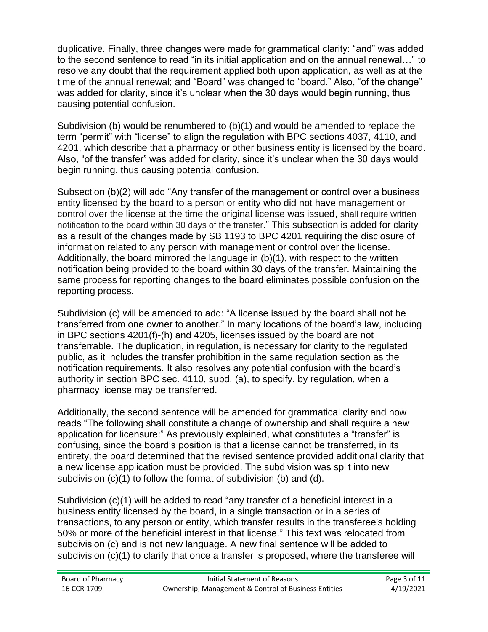duplicative. Finally, three changes were made for grammatical clarity: "and" was added to the second sentence to read "in its initial application and on the annual renewal…" to resolve any doubt that the requirement applied both upon application, as well as at the time of the annual renewal; and "Board" was changed to "board." Also, "of the change" was added for clarity, since it's unclear when the 30 days would begin running, thus causing potential confusion.

Subdivision (b) would be renumbered to (b)(1) and would be amended to replace the term "permit" with "license" to align the regulation with BPC sections 4037, 4110, and 4201, which describe that a pharmacy or other business entity is licensed by the board. Also, "of the transfer" was added for clarity, since it's unclear when the 30 days would begin running, thus causing potential confusion.

Subsection (b)(2) will add "Any transfer of the management or control over a business entity licensed by the board to a person or entity who did not have management or control over the license at the time the original license was issued, shall require written notification to the board within 30 days of the transfer." This subsection is added for clarity as a result of the changes made by SB 1193 to BPC 4201 requiring the disclosure of information related to any person with management or control over the license. Additionally, the board mirrored the language in (b)(1), with respect to the written notification being provided to the board within 30 days of the transfer. Maintaining the same process for reporting changes to the board eliminates possible confusion on the reporting process.

Subdivision (c) will be amended to add: "A license issued by the board shall not be transferred from one owner to another." In many locations of the board's law, including in BPC sections 4201(f)-(h) and 4205, licenses issued by the board are not transferrable. The duplication, in regulation, is necessary for clarity to the regulated public, as it includes the transfer prohibition in the same regulation section as the notification requirements. It also resolves any potential confusion with the board's authority in section BPC sec. 4110, subd. (a), to specify, by regulation, when a pharmacy license may be transferred.

Additionally, the second sentence will be amended for grammatical clarity and now reads "The following shall constitute a change of ownership and shall require a new application for licensure:" As previously explained, what constitutes a "transfer" is confusing, since the board's position is that a license cannot be transferred, in its entirety, the board determined that the revised sentence provided additional clarity that a new license application must be provided. The subdivision was split into new subdivision (c)(1) to follow the format of subdivision (b) and (d).

Subdivision (c)(1) will be added to read "any transfer of a beneficial interest in a business entity licensed by the board, in a single transaction or in a series of transactions, to any person or entity, which transfer results in the transferee's holding 50% or more of the beneficial interest in that license." This text was relocated from subdivision (c) and is not new language. A new final sentence will be added to subdivision (c)(1) to clarify that once a transfer is proposed, where the transferee will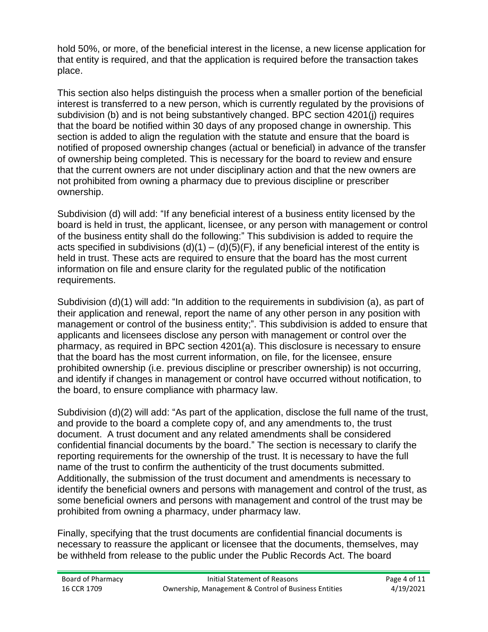hold 50%, or more, of the beneficial interest in the license, a new license application for that entity is required, and that the application is required before the transaction takes place.

This section also helps distinguish the process when a smaller portion of the beneficial interest is transferred to a new person, which is currently regulated by the provisions of subdivision (b) and is not being substantively changed. BPC section 4201(j) requires that the board be notified within 30 days of any proposed change in ownership. This section is added to align the regulation with the statute and ensure that the board is notified of proposed ownership changes (actual or beneficial) in advance of the transfer of ownership being completed. This is necessary for the board to review and ensure that the current owners are not under disciplinary action and that the new owners are not prohibited from owning a pharmacy due to previous discipline or prescriber ownership.

Subdivision (d) will add: "If any beneficial interest of a business entity licensed by the board is held in trust, the applicant, licensee, or any person with management or control of the business entity shall do the following:" This subdivision is added to require the acts specified in subdivisions  $(d)(1) - (d)(5)(F)$ , if any beneficial interest of the entity is held in trust. These acts are required to ensure that the board has the most current information on file and ensure clarity for the regulated public of the notification requirements.

Subdivision (d)(1) will add: "In addition to the requirements in subdivision (a), as part of their application and renewal, report the name of any other person in any position with management or control of the business entity;". This subdivision is added to ensure that applicants and licensees disclose any person with management or control over the pharmacy, as required in BPC section 4201(a). This disclosure is necessary to ensure that the board has the most current information, on file, for the licensee, ensure prohibited ownership (i.e. previous discipline or prescriber ownership) is not occurring, and identify if changes in management or control have occurred without notification, to the board, to ensure compliance with pharmacy law.

Subdivision (d)(2) will add: "As part of the application, disclose the full name of the trust, and provide to the board a complete copy of, and any amendments to, the trust document. A trust document and any related amendments shall be considered confidential financial documents by the board." The section is necessary to clarify the reporting requirements for the ownership of the trust. It is necessary to have the full name of the trust to confirm the authenticity of the trust documents submitted. Additionally, the submission of the trust document and amendments is necessary to identify the beneficial owners and persons with management and control of the trust, as some beneficial owners and persons with management and control of the trust may be prohibited from owning a pharmacy, under pharmacy law.

Finally, specifying that the trust documents are confidential financial documents is necessary to reassure the applicant or licensee that the documents, themselves, may be withheld from release to the public under the Public Records Act. The board

| Board of Pharmacy | Initial Statement of Reasons                         | Page 4 of 11 |
|-------------------|------------------------------------------------------|--------------|
| 16 CCR 1709       | Ownership, Management & Control of Business Entities | 4/19/2021    |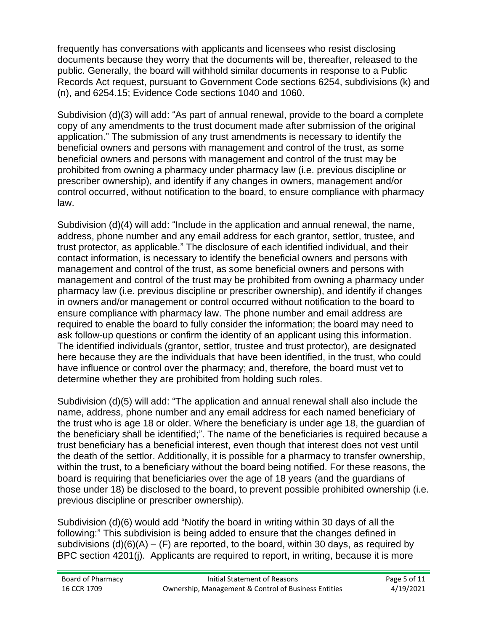frequently has conversations with applicants and licensees who resist disclosing documents because they worry that the documents will be, thereafter, released to the public. Generally, the board will withhold similar documents in response to a Public Records Act request, pursuant to Government Code sections 6254, subdivisions (k) and (n), and 6254.15; Evidence Code sections 1040 and 1060.

Subdivision (d)(3) will add: "As part of annual renewal, provide to the board a complete copy of any amendments to the trust document made after submission of the original application." The submission of any trust amendments is necessary to identify the beneficial owners and persons with management and control of the trust, as some beneficial owners and persons with management and control of the trust may be prohibited from owning a pharmacy under pharmacy law (i.e. previous discipline or prescriber ownership), and identify if any changes in owners, management and/or control occurred, without notification to the board, to ensure compliance with pharmacy law.

Subdivision (d)(4) will add: "Include in the application and annual renewal, the name, address, phone number and any email address for each grantor, settlor, trustee, and trust protector, as applicable." The disclosure of each identified individual, and their contact information, is necessary to identify the beneficial owners and persons with management and control of the trust, as some beneficial owners and persons with management and control of the trust may be prohibited from owning a pharmacy under pharmacy law (i.e. previous discipline or prescriber ownership), and identify if changes in owners and/or management or control occurred without notification to the board to ensure compliance with pharmacy law. The phone number and email address are required to enable the board to fully consider the information; the board may need to ask follow-up questions or confirm the identity of an applicant using this information. The identified individuals (grantor, settlor, trustee and trust protector), are designated here because they are the individuals that have been identified, in the trust, who could have influence or control over the pharmacy; and, therefore, the board must vet to determine whether they are prohibited from holding such roles.

Subdivision (d)(5) will add: "The application and annual renewal shall also include the name, address, phone number and any email address for each named beneficiary of the trust who is age 18 or older. Where the beneficiary is under age 18, the guardian of the beneficiary shall be identified;". The name of the beneficiaries is required because a trust beneficiary has a beneficial interest, even though that interest does not vest until the death of the settlor. Additionally, it is possible for a pharmacy to transfer ownership, within the trust, to a beneficiary without the board being notified. For these reasons, the board is requiring that beneficiaries over the age of 18 years (and the guardians of those under 18) be disclosed to the board, to prevent possible prohibited ownership (i.e. previous discipline or prescriber ownership).

Subdivision (d)(6) would add "Notify the board in writing within 30 days of all the following:" This subdivision is being added to ensure that the changes defined in subdivisions  $(d)(6)(A) - (F)$  are reported, to the board, within 30 days, as required by BPC section 4201(j). Applicants are required to report, in writing, because it is more

| Board of Pharmacy | Initial Statement of Reasons                         | Page 5 of 11 |
|-------------------|------------------------------------------------------|--------------|
| 16 CCR 1709       | Ownership, Management & Control of Business Entities | 4/19/2021    |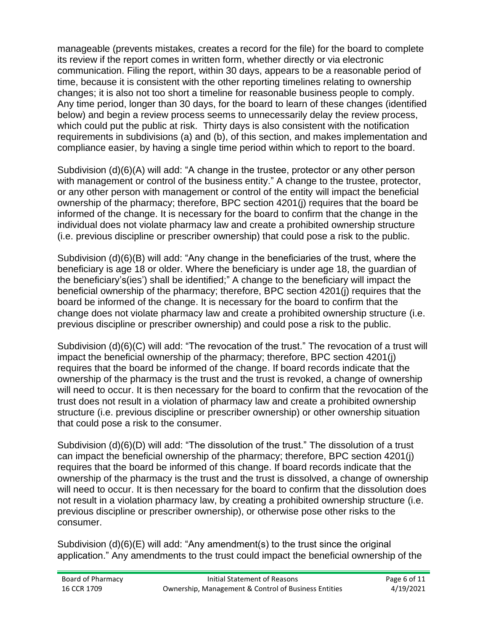manageable (prevents mistakes, creates a record for the file) for the board to complete its review if the report comes in written form, whether directly or via electronic communication. Filing the report, within 30 days, appears to be a reasonable period of time, because it is consistent with the other reporting timelines relating to ownership changes; it is also not too short a timeline for reasonable business people to comply. Any time period, longer than 30 days, for the board to learn of these changes (identified below) and begin a review process seems to unnecessarily delay the review process, which could put the public at risk. Thirty days is also consistent with the notification requirements in subdivisions (a) and (b), of this section, and makes implementation and compliance easier, by having a single time period within which to report to the board.

Subdivision (d)(6)(A) will add: "A change in the trustee, protector or any other person with management or control of the business entity." A change to the trustee, protector, or any other person with management or control of the entity will impact the beneficial ownership of the pharmacy; therefore, BPC section 4201(j) requires that the board be informed of the change. It is necessary for the board to confirm that the change in the individual does not violate pharmacy law and create a prohibited ownership structure (i.e. previous discipline or prescriber ownership) that could pose a risk to the public.

Subdivision (d)(6)(B) will add: "Any change in the beneficiaries of the trust, where the beneficiary is age 18 or older. Where the beneficiary is under age 18, the guardian of the beneficiary's(ies') shall be identified;" A change to the beneficiary will impact the beneficial ownership of the pharmacy; therefore, BPC section 4201(j) requires that the board be informed of the change. It is necessary for the board to confirm that the change does not violate pharmacy law and create a prohibited ownership structure (i.e. previous discipline or prescriber ownership) and could pose a risk to the public.

Subdivision (d)(6)(C) will add: "The revocation of the trust." The revocation of a trust will impact the beneficial ownership of the pharmacy; therefore, BPC section 4201(j) requires that the board be informed of the change. If board records indicate that the ownership of the pharmacy is the trust and the trust is revoked, a change of ownership will need to occur. It is then necessary for the board to confirm that the revocation of the trust does not result in a violation of pharmacy law and create a prohibited ownership structure (i.e. previous discipline or prescriber ownership) or other ownership situation that could pose a risk to the consumer.

Subdivision (d)(6)(D) will add: "The dissolution of the trust." The dissolution of a trust can impact the beneficial ownership of the pharmacy; therefore, BPC section 4201(j) requires that the board be informed of this change. If board records indicate that the ownership of the pharmacy is the trust and the trust is dissolved, a change of ownership will need to occur. It is then necessary for the board to confirm that the dissolution does not result in a violation pharmacy law, by creating a prohibited ownership structure (i.e. previous discipline or prescriber ownership), or otherwise pose other risks to the consumer.

Subdivision (d)(6)(E) will add: "Any amendment(s) to the trust since the original application." Any amendments to the trust could impact the beneficial ownership of the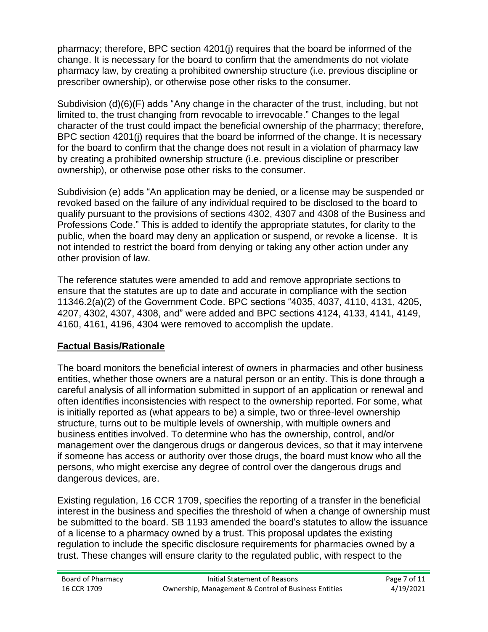pharmacy; therefore, BPC section 4201(j) requires that the board be informed of the change. It is necessary for the board to confirm that the amendments do not violate pharmacy law, by creating a prohibited ownership structure (i.e. previous discipline or prescriber ownership), or otherwise pose other risks to the consumer.

Subdivision (d)(6)(F) adds "Any change in the character of the trust, including, but not limited to, the trust changing from revocable to irrevocable." Changes to the legal character of the trust could impact the beneficial ownership of the pharmacy; therefore, BPC section 4201(j) requires that the board be informed of the change. It is necessary for the board to confirm that the change does not result in a violation of pharmacy law by creating a prohibited ownership structure (i.e. previous discipline or prescriber ownership), or otherwise pose other risks to the consumer.

Subdivision (e) adds "An application may be denied, or a license may be suspended or revoked based on the failure of any individual required to be disclosed to the board to qualify pursuant to the provisions of sections 4302, 4307 and 4308 of the Business and Professions Code." This is added to identify the appropriate statutes, for clarity to the public, when the board may deny an application or suspend, or revoke a license. It is not intended to restrict the board from denying or taking any other action under any other provision of law.

The reference statutes were amended to add and remove appropriate sections to ensure that the statutes are up to date and accurate in compliance with the section 11346.2(a)(2) of the Government Code. BPC sections "4035, 4037, 4110, 4131, 4205, 4207, 4302, 4307, 4308, and" were added and BPC sections 4124, 4133, 4141, 4149, 4160, 4161, 4196, 4304 were removed to accomplish the update.

# **Factual Basis/Rationale**

The board monitors the beneficial interest of owners in pharmacies and other business entities, whether those owners are a natural person or an entity. This is done through a careful analysis of all information submitted in support of an application or renewal and often identifies inconsistencies with respect to the ownership reported. For some, what is initially reported as (what appears to be) a simple, two or three-level ownership structure, turns out to be multiple levels of ownership, with multiple owners and business entities involved. To determine who has the ownership, control, and/or management over the dangerous drugs or dangerous devices, so that it may intervene if someone has access or authority over those drugs, the board must know who all the persons, who might exercise any degree of control over the dangerous drugs and dangerous devices, are.

Existing regulation, 16 CCR 1709, specifies the reporting of a transfer in the beneficial interest in the business and specifies the threshold of when a change of ownership must be submitted to the board. SB 1193 amended the board's statutes to allow the issuance of a license to a pharmacy owned by a trust. This proposal updates the existing regulation to include the specific disclosure requirements for pharmacies owned by a trust. These changes will ensure clarity to the regulated public, with respect to the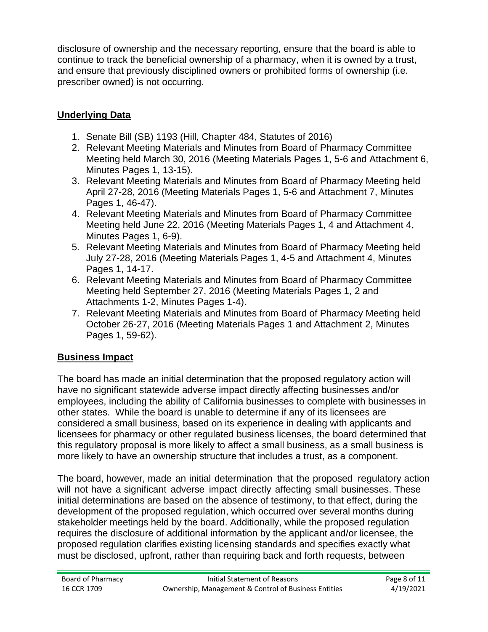disclosure of ownership and the necessary reporting, ensure that the board is able to continue to track the beneficial ownership of a pharmacy, when it is owned by a trust, and ensure that previously disciplined owners or prohibited forms of ownership (i.e. prescriber owned) is not occurring.

# **Underlying Data**

- 1. Senate Bill (SB) 1193 (Hill, Chapter 484, Statutes of 2016)
- 2. Relevant Meeting Materials and Minutes from Board of Pharmacy Committee Meeting held March 30, 2016 (Meeting Materials Pages 1, 5-6 and Attachment 6, Minutes Pages 1, 13-15).
- 3. Relevant Meeting Materials and Minutes from Board of Pharmacy Meeting held April 27-28, 2016 (Meeting Materials Pages 1, 5-6 and Attachment 7, Minutes Pages 1, 46-47).
- 4. Relevant Meeting Materials and Minutes from Board of Pharmacy Committee Meeting held June 22, 2016 (Meeting Materials Pages 1, 4 and Attachment 4, Minutes Pages 1, 6-9).
- 5. Relevant Meeting Materials and Minutes from Board of Pharmacy Meeting held July 27-28, 2016 (Meeting Materials Pages 1, 4-5 and Attachment 4, Minutes Pages 1, 14-17.
- 6. Relevant Meeting Materials and Minutes from Board of Pharmacy Committee Meeting held September 27, 2016 (Meeting Materials Pages 1, 2 and Attachments 1-2, Minutes Pages 1-4).
- 7. Relevant Meeting Materials and Minutes from Board of Pharmacy Meeting held October 26-27, 2016 (Meeting Materials Pages 1 and Attachment 2, Minutes Pages 1, 59-62).

# **Business Impact**

The board has made an initial determination that the proposed regulatory action will have no significant statewide adverse impact directly affecting businesses and/or employees, including the ability of California businesses to complete with businesses in other states. While the board is unable to determine if any of its licensees are considered a small business, based on its experience in dealing with applicants and licensees for pharmacy or other regulated business licenses, the board determined that this regulatory proposal is more likely to affect a small business, as a small business is more likely to have an ownership structure that includes a trust, as a component.

The board, however, made an initial determination that the proposed regulatory action will not have a significant adverse impact directly affecting small businesses. These initial determinations are based on the absence of testimony, to that effect, during the development of the proposed regulation, which occurred over several months during stakeholder meetings held by the board. Additionally, while the proposed regulation requires the disclosure of additional information by the applicant and/or licensee, the proposed regulation clarifies existing licensing standards and specifies exactly what must be disclosed, upfront, rather than requiring back and forth requests, between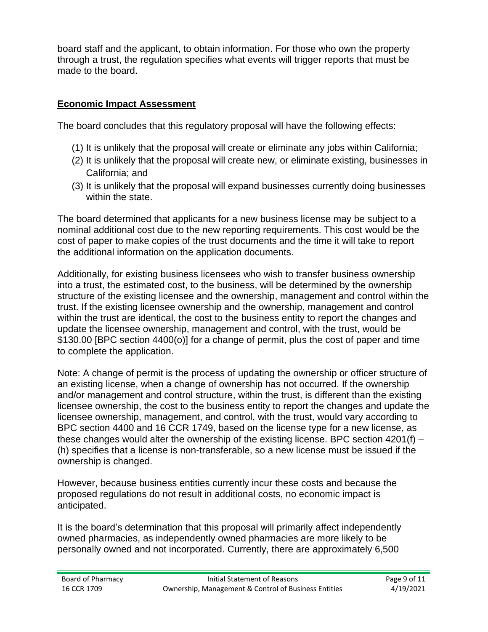board staff and the applicant, to obtain information. For those who own the property through a trust, the regulation specifies what events will trigger reports that must be made to the board.

## **Economic Impact Assessment**

The board concludes that this regulatory proposal will have the following effects:

- (1) It is unlikely that the proposal will create or eliminate any jobs within California;
- (2) It is unlikely that the proposal will create new, or eliminate existing, businesses in California; and
- (3) It is unlikely that the proposal will expand businesses currently doing businesses within the state.

The board determined that applicants for a new business license may be subject to a nominal additional cost due to the new reporting requirements. This cost would be the cost of paper to make copies of the trust documents and the time it will take to report the additional information on the application documents.

Additionally, for existing business licensees who wish to transfer business ownership into a trust, the estimated cost, to the business, will be determined by the ownership structure of the existing licensee and the ownership, management and control within the trust. If the existing licensee ownership and the ownership, management and control within the trust are identical, the cost to the business entity to report the changes and update the licensee ownership, management and control, with the trust, would be \$130.00 [BPC section 4400(o)] for a change of permit, plus the cost of paper and time to complete the application.

Note: A change of permit is the process of updating the ownership or officer structure of an existing license, when a change of ownership has not occurred. If the ownership and/or management and control structure, within the trust, is different than the existing licensee ownership, the cost to the business entity to report the changes and update the licensee ownership, management, and control, with the trust, would vary according to BPC section 4400 and 16 CCR 1749, based on the license type for a new license, as these changes would alter the ownership of the existing license. BPC section 4201(f) – (h) specifies that a license is non-transferable, so a new license must be issued if the ownership is changed.

However, because business entities currently incur these costs and because the proposed regulations do not result in additional costs, no economic impact is anticipated.

It is the board's determination that this proposal will primarily affect independently owned pharmacies, as independently owned pharmacies are more likely to be personally owned and not incorporated. Currently, there are approximately 6,500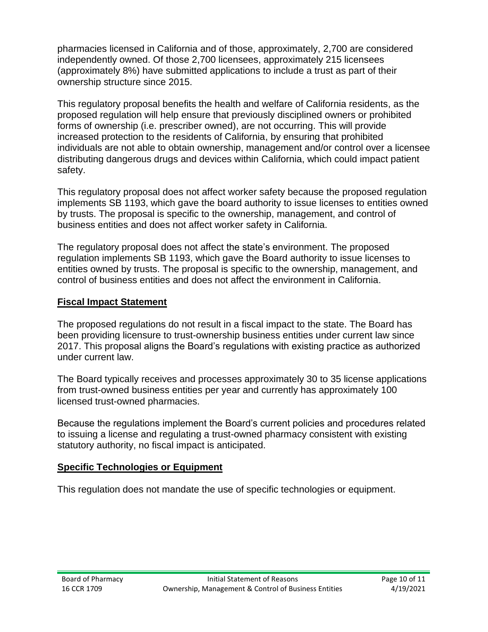pharmacies licensed in California and of those, approximately, 2,700 are considered independently owned. Of those 2,700 licensees, approximately 215 licensees (approximately 8%) have submitted applications to include a trust as part of their ownership structure since 2015.

This regulatory proposal benefits the health and welfare of California residents, as the proposed regulation will help ensure that previously disciplined owners or prohibited forms of ownership (i.e. prescriber owned), are not occurring. This will provide increased protection to the residents of California, by ensuring that prohibited individuals are not able to obtain ownership, management and/or control over a licensee distributing dangerous drugs and devices within California, which could impact patient safety.

This regulatory proposal does not affect worker safety because the proposed regulation implements SB 1193, which gave the board authority to issue licenses to entities owned by trusts. The proposal is specific to the ownership, management, and control of business entities and does not affect worker safety in California.

The regulatory proposal does not affect the state's environment. The proposed regulation implements SB 1193, which gave the Board authority to issue licenses to entities owned by trusts. The proposal is specific to the ownership, management, and control of business entities and does not affect the environment in California.

### **Fiscal Impact Statement**

The proposed regulations do not result in a fiscal impact to the state. The Board has been providing licensure to trust-ownership business entities under current law since 2017. This proposal aligns the Board's regulations with existing practice as authorized under current law.

The Board typically receives and processes approximately 30 to 35 license applications from trust-owned business entities per year and currently has approximately 100 licensed trust-owned pharmacies.

Because the regulations implement the Board's current policies and procedures related to issuing a license and regulating a trust-owned pharmacy consistent with existing statutory authority, no fiscal impact is anticipated.

### **Specific Technologies or Equipment**

This regulation does not mandate the use of specific technologies or equipment.